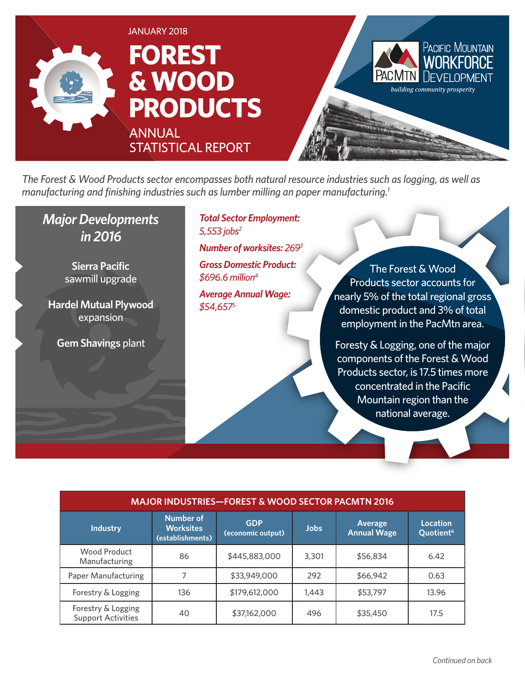

*The Forest & Wood Products sector encompasses both natural resource industries such as logging, as well as manufacturing and finishing industries such as lumber milling an paper manufacturing.1*

### *Major Developments in 2016*

**Sierra Pacific** sawmill upgrade

**Hardel Mutual Plywood** expansion

**Gem Shavings** plant

*Total Sector Employment: 5,553 jobs2*

*Number of worksites: 2693*

*Gross Domestic Product: \$696.6 million4*

*Average Annual Wage: \$54,6575*

The Forest & Wood Products sector accounts for nearly 5% of the total regional gross domestic product and 3% of total employment in the PacMtn area.

Foresty & Logging, one of the major components of the Forest & Wood Products sector, is 17.5 times more concentrated in the Pacific Mountain region than the national average.

| <b>MAJOR INDUSTRIES-FOREST &amp; WOOD SECTOR PACMTN 2016</b> |                                                          |                                 |             |                               |                                          |
|--------------------------------------------------------------|----------------------------------------------------------|---------------------------------|-------------|-------------------------------|------------------------------------------|
| <b>Industry</b>                                              | <b>Number of</b><br><b>Worksites</b><br>(establishments) | <b>GDP</b><br>(economic output) | <b>Jobs</b> | Average<br><b>Annual Wage</b> | <b>Location</b><br>Quotient <sup>6</sup> |
| Wood Product<br>Manufacturing                                | 86                                                       | \$445,883,000                   | 3,301       | \$56,834                      | 6.42                                     |
| Paper Manufacturing                                          |                                                          | \$33,949,000                    | 292         | \$66,942                      | 0.63                                     |
| Forestry & Logging                                           | 136                                                      | \$179,612,000                   | 1,443       | \$53,797                      | 13.96                                    |
| Forestry & Logging<br><b>Support Activities</b>              | 40                                                       | \$37,162,000                    | 496         | \$35,450                      | 17.5                                     |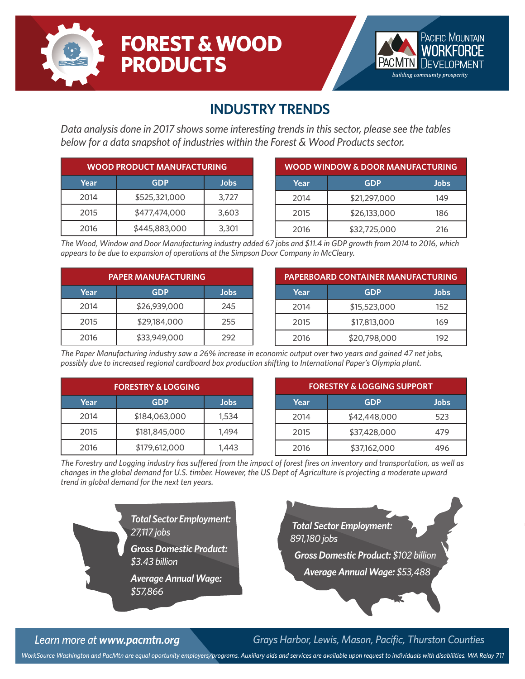

# **FOREST & WOOD PRODUCTS**



### **INDUSTRY TRENDS**

*Data analysis done in 2017 shows some interesting trends in this sector, please see the tables below for a data snapshot of industries within the Forest & Wood Products sector.*

| <b>WOOD PRODUCT MANUFACTURING</b> |               |       |  |
|-----------------------------------|---------------|-------|--|
| Year                              | <b>GDP</b>    | Jobs  |  |
| 2014                              | \$525,321,000 | 3,727 |  |
| 2015                              | \$477,474,000 | 3,603 |  |
| 2016                              | \$445,883,000 | 3,301 |  |

| WOOD WINDOW & DOOR MANUFACTURING |              |      |  |
|----------------------------------|--------------|------|--|
| Year                             | <b>GDP</b>   | Jobs |  |
| 2014                             | \$21,297,000 | 149  |  |
| 2015                             | \$26,133,000 | 186  |  |
| 2016                             | \$32,725,000 | 216  |  |

*The Wood, Window and Door Manufacturing industry added 67 jobs and \$11.4 in GDP growth from 2014 to 2016, which appears to be due to expansion of operations at the Simpson Door Company in McCleary.*

| <b>PAPER MANUFACTURING</b> |              |      |  |
|----------------------------|--------------|------|--|
| Year                       | <b>GDP</b>   | Jobs |  |
| 2014                       | \$26,939,000 | 245  |  |
| 2015                       | \$29,184,000 | 255  |  |
| 2016                       | \$33,949,000 | 292  |  |

| <b>PAPERBOARD CONTAINER MANUFACTURING</b> |              |      |  |
|-------------------------------------------|--------------|------|--|
| Year                                      | <b>GDP</b>   | Jobs |  |
| 2014                                      | \$15,523,000 | 152  |  |
| 2015                                      | \$17,813,000 | 169  |  |
| 2016                                      | \$20,798,000 | 192  |  |

*The Paper Manufacturing industry saw a 26% increase in economic output over two years and gained 47 net jobs, possibly due to increased regional cardboard box production shifting to International Paper's Olympia plant.*

| <b>FORESTRY &amp; LOGGING</b> |               |       |  |
|-------------------------------|---------------|-------|--|
| Year                          | <b>GDP</b>    | Jobs  |  |
| 2014                          | \$184,063,000 | 1,534 |  |
| 2015                          | \$181,845,000 | 1,494 |  |
| 2016                          | \$179,612,000 | 1,443 |  |

| <b>FORESTRY &amp; LOGGING SUPPORT</b> |              |             |  |
|---------------------------------------|--------------|-------------|--|
| Year                                  | <b>GDP</b>   | <b>Jobs</b> |  |
| 2014                                  | \$42,448,000 | 523         |  |
| 2015                                  | \$37,428,000 | 479         |  |
| 2016                                  | \$37,162,000 | 496         |  |

*The Forestry and Logging industry has suffered from the impact of forest fires on inventory and transportation, as well as changes in the global demand for U.S. timber. However, the US Dept of Agriculture is projecting a moderate upward trend in global demand for the next ten years.*





*Learn more at www.pacmtn.org Grays Harbor, Lewis, Mason, Pacific, Thurston Counties*

*WorkSource Washington and PacMtn are equal oportunity employers/programs. Auxiliary aids and services are available upon request to individuals with disabilities. WA Relay 711*